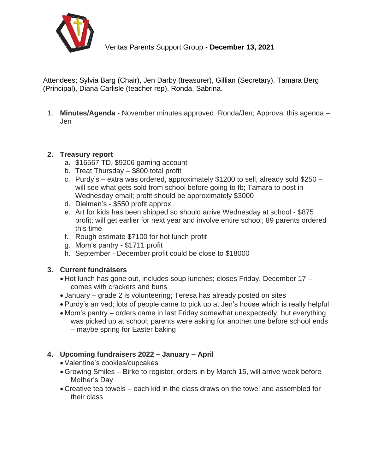

Veritas Parents Support Group - **December 13, 2021**

Attendees; Sylvia Barg (Chair), Jen Darby (treasurer), Gillian (Secretary), Tamara Berg (Principal), Diana Carlisle (teacher rep), Ronda, Sabrina.

1. **Minutes/Agenda** - November minutes approved: Ronda/Jen; Approval this agenda – Jen

## **2. Treasury report**

- a. \$16567 TD, \$9206 gaming account
- b. Treat Thursday \$800 total profit
- c. Purdy's extra was ordered, approximately \$1200 to sell, already sold \$250 will see what gets sold from school before going to fb; Tamara to post in Wednesday email; profit should be approximately \$3000
- d. Dielman's \$550 profit approx.
- e. Art for kids has been shipped so should arrive Wednesday at school \$875 profit; will get earlier for next year and involve entire school; 89 parents ordered this time
- f. Rough estimate \$7100 for hot lunch profit
- g. Mom's pantry \$1711 profit
- h. September December profit could be close to \$18000

## **3. Current fundraisers**

- Hot lunch has gone out, includes soup lunches; closes Friday, December 17 comes with crackers and buns
- January grade 2 is volunteering; Teresa has already posted on sites
- Purdy's arrived; lots of people came to pick up at Jen's house which is really helpful
- Mom's pantry orders came in last Friday somewhat unexpectedly, but everything was picked up at school; parents were asking for another one before school ends – maybe spring for Easter baking

## **4. Upcoming fundraisers 2022 – January – April**

- Valentine's cookies/cupcakes
- Growing Smiles Birke to register, orders in by March 15, will arrive week before Mother's Day
- Creative tea towels each kid in the class draws on the towel and assembled for their class